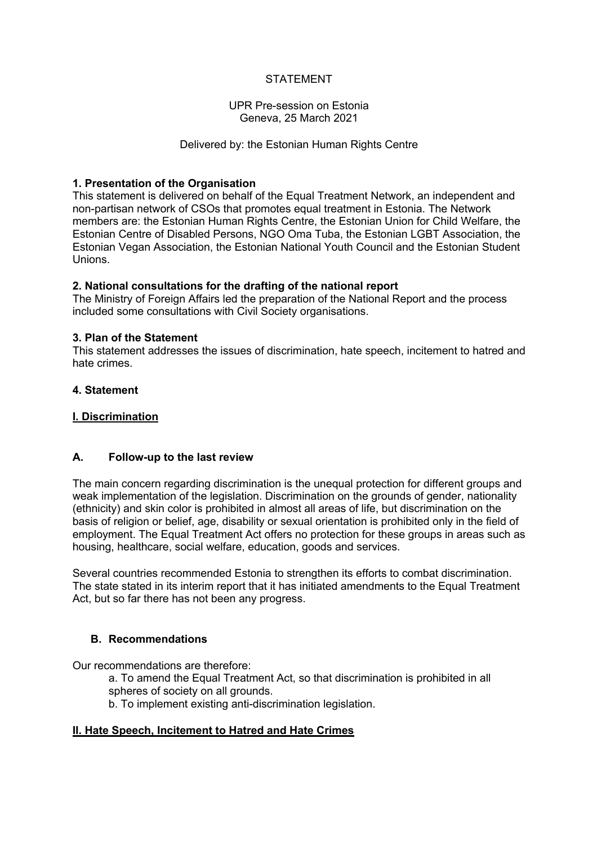# STATEMENT

### UPR Pre-session on Estonia Geneva, 25 March 2021

### Delivered by: the Estonian Human Rights Centre

## **1. Presentation of the Organisation**

This statement is delivered on behalf of the Equal Treatment Network, an independent and non-partisan network of CSOs that promotes equal treatment in Estonia. The Network members are: the Estonian Human Rights Centre, the Estonian Union for Child Welfare, the Estonian Centre of Disabled Persons, NGO Oma Tuba, the Estonian LGBT Association, the Estonian Vegan Association, the Estonian National Youth Council and the Estonian Student Unions.

### **2. National consultations for the drafting of the national report**

The Ministry of Foreign Affairs led the preparation of the National Report and the process included some consultations with Civil Society organisations.

#### **3. Plan of the Statement**

This statement addresses the issues of discrimination, hate speech, incitement to hatred and hate crimes.

## **4. Statement**

### **I. Discrimination**

## **A. Follow-up to the last review**

The main concern regarding discrimination is the unequal protection for different groups and weak implementation of the legislation. Discrimination on the grounds of gender, nationality (ethnicity) and skin color is prohibited in almost all areas of life, but discrimination on the basis of religion or belief, age, disability or sexual orientation is prohibited only in the field of employment. The Equal Treatment Act offers no protection for these groups in areas such as housing, healthcare, social welfare, education, goods and services.

Several countries recommended Estonia to strengthen its efforts to combat discrimination. The state stated in its interim report that it has initiated amendments to the Equal Treatment Act, but so far there has not been any progress.

## **B. Recommendations**

Our recommendations are therefore:

- a. To amend the Equal Treatment Act, so that discrimination is prohibited in all spheres of society on all grounds.
- b. To implement existing anti-discrimination legislation.

## **II. Hate Speech, Incitement to Hatred and Hate Crimes**